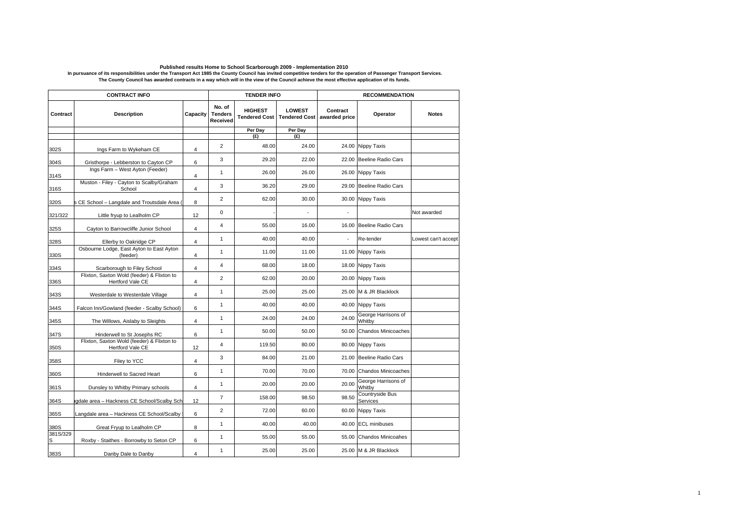## Published results Home to School Scarborough 2009 - Implementation 2010<br>In pursuance of its responsibilities under the Transport Act 1985 the County Council has invited competitive tenders for the operation of Passenger Tr

| <b>CONTRACT INFO</b> |                                                                |                |                                      | <b>TENDER INFO</b> |                                                                |          | <b>RECOMMENDATION</b>         |                     |  |
|----------------------|----------------------------------------------------------------|----------------|--------------------------------------|--------------------|----------------------------------------------------------------|----------|-------------------------------|---------------------|--|
| Contract             | <b>Description</b>                                             | Capacity       | No. of<br><b>Tenders</b><br>Received | <b>HIGHEST</b>     | <b>LOWEST</b><br>Tendered Cost   Tendered Cost   awarded price | Contract | Operator                      | <b>Notes</b>        |  |
|                      |                                                                |                |                                      | Per Day            | Per Day                                                        |          |                               |                     |  |
|                      |                                                                |                |                                      | (E)                | (E)                                                            |          |                               |                     |  |
| 302S                 | Ings Farm to Wykeham CE                                        | 4              | $\overline{2}$                       | 48.00              | 24.00                                                          | 24.00    | Nippy Taxis                   |                     |  |
| 304S                 | Gristhorpe - Lebberston to Cayton CP                           | 6              | 3                                    | 29.20              | 22.00                                                          | 22.00    | Beeline Radio Cars            |                     |  |
| 314S                 | Ings Farm - West Ayton (Feeder)                                | 4              | $\mathbf{1}$                         | 26.00              | 26.00                                                          | 26.00    | Nippy Taxis                   |                     |  |
| 316S                 | Muston - Filey - Cayton to Scalby/Graham<br>School             | $\overline{4}$ | 3                                    | 36.20              | 29.00                                                          | 29.00    | Beeline Radio Cars            |                     |  |
| 320S                 | s CE School - Langdale and Troutsdale Area (                   | 8              | $\overline{2}$                       | 62.00              | 30.00                                                          |          | 30.00 Nippy Taxis             |                     |  |
| 321/322              | Little fryup to Lealholm CP                                    | 12             | 0                                    |                    |                                                                |          |                               | Not awarded         |  |
| 325S                 | Cayton to Barrowcliffe Junior School                           | 4              | 4                                    | 55.00              | 16.00                                                          | 16.00    | <b>Beeline Radio Cars</b>     |                     |  |
| 328S                 | Ellerby to Oakridge CP                                         | $\overline{4}$ | $\mathbf{1}$                         | 40.00              | 40.00                                                          |          | Re-tender                     | Lowest can't accept |  |
| 330S                 | Osbourne Lodge, East Ayton to East Ayton<br>(feeder)           | $\overline{4}$ | 1                                    | 11.00              | 11.00                                                          | 11.00    | Nippy Taxis                   |                     |  |
| 334S                 | Scarborough to Filey School                                    | 4              | 4                                    | 68.00              | 18.00                                                          | 18.00    | Nippy Taxis                   |                     |  |
| 336S                 | Flixton, Saxton Wold (feeder) & Flixton to<br>Hertford Vale CE | $\overline{4}$ | $\overline{2}$                       | 62.00              | 20.00                                                          | 20.00    | Nippy Taxis                   |                     |  |
| 343S                 | Westerdale to Westerdale Village                               | $\overline{4}$ | $\mathbf{1}$                         | 25.00              | 25.00                                                          | 25.00    | M & JR Blacklock              |                     |  |
| 344S                 | Falcon Inn/Gowland (feeder - Scalby School)                    | 6              | $\mathbf{1}$                         | 40.00              | 40.00                                                          | 40.00    | Nippy Taxis                   |                     |  |
| 345S                 | The Willows, Aislaby to Sleights                               | 4              | $\mathbf{1}$                         | 24.00              | 24.00                                                          | 24.00    | George Harrisons of<br>Whitby |                     |  |
| 347S                 | Hinderwell to St Josephs RC                                    | 6              | $\mathbf{1}$                         | 50.00              | 50.00                                                          | 50.00    | <b>Chandos Minicoaches</b>    |                     |  |
| 350S                 | Flixton, Saxton Wold (feeder) & Flixton to<br>Hertford Vale CE | 12             | $\overline{4}$                       | 119.50             | 80.00                                                          | 80.00    | Nippy Taxis                   |                     |  |
| 358S                 | Filey to YCC                                                   | 4              | 3                                    | 84.00              | 21.00                                                          | 21.00    | <b>Beeline Radio Cars</b>     |                     |  |
| 360S                 | Hinderwell to Sacred Heart                                     | 6              | $\mathbf{1}$                         | 70.00              | 70.00                                                          | 70.00    | Chandos Minicoaches           |                     |  |
| 361S                 | Dunsley to Whitby Primary schools                              | 4              | $\mathbf{1}$                         | 20.00              | 20.00                                                          | 20.00    | George Harrisons of<br>Whitby |                     |  |
| 364S                 | gdale area - Hackness CE School/Scalby Sch                     | 12             | $\overline{7}$                       | 158.00             | 98.50                                                          | 98.50    | Countryside Bus<br>Services   |                     |  |
| 365S                 | Langdale area - Hackness CE School/Scalby                      | 6              | $\overline{2}$                       | 72.00              | 60.00                                                          | 60.00    | Nippy Taxis                   |                     |  |
| 380S                 | Great Fryup to Lealholm CP                                     | 8              | $\mathbf{1}$                         | 40.00              | 40.00                                                          | 40.00    | <b>ECL minibuses</b>          |                     |  |
| 381S/329<br>S        | Roxby - Staithes - Borrowby to Seton CP                        | 6              | 1                                    | 55.00              | 55.00                                                          | 55.00    | <b>Chandos Minicoahes</b>     |                     |  |
| 383S                 | Danby Dale to Danby                                            | $\overline{4}$ | $\mathbf{1}$                         | 25.00              | 25.00                                                          | 25.00    | M & JR Blacklock              |                     |  |